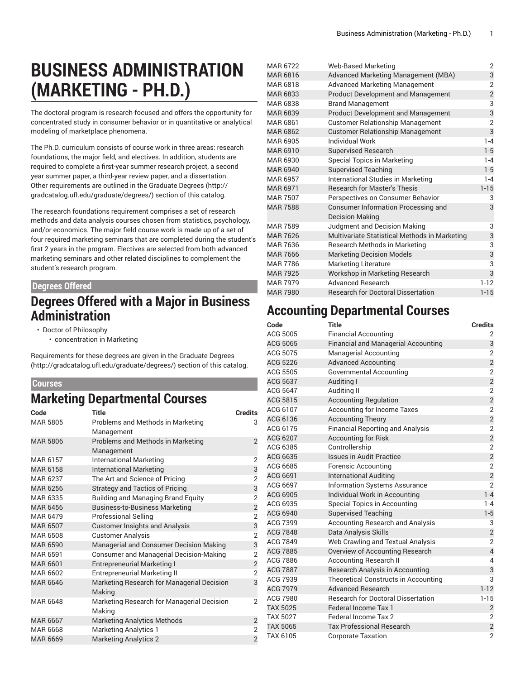# **BUSINESS ADMINISTRATION (MARKETING - PH.D.)**

The doctoral program is research-focused and offers the opportunity for concentrated study in consumer behavior or in quantitative or analytical modeling of marketplace phenomena.

The Ph.D. curriculum consists of course work in three areas: research foundations, the major field, and electives. In addition, students are required to complete a first-year summer research project, a second year summer paper, a third-year review paper, and a dissertation. Other requirements are outlined in the [Graduate](http://gradcatalog.ufl.edu/graduate/degrees/) Degrees ([http://](http://gradcatalog.ufl.edu/graduate/degrees/) [gradcatalog.ufl.edu/graduate/degrees/\)](http://gradcatalog.ufl.edu/graduate/degrees/) section of this catalog.

The research foundations requirement comprises a set of research methods and data analysis courses chosen from statistics, psychology, and/or economics. The major field course work is made up of a set of four required marketing seminars that are completed during the student's first 2 years in the program. Electives are selected from both advanced marketing seminars and other related disciplines to complement the student's research program.

#### **Degrees Offered**

#### **Degrees Offered with a Major in Business Administration**

- Doctor of Philosophy
	- concentration in Marketing

Requirements for these degrees are given in the [Graduate](http://gradcatalog.ufl.edu/graduate/degrees/) Degrees ([http://gradcatalog.ufl.edu/graduate/degrees/\)](http://gradcatalog.ufl.edu/graduate/degrees/) section of this catalog.

#### **Courses**

### **Marketing Departmental Courses**

| Code            | <b>Title</b>                                   | <b>Credits</b> |
|-----------------|------------------------------------------------|----------------|
| MAR 5805        | Problems and Methods in Marketing              | 3              |
|                 | Management                                     |                |
| MAR 5806        | Problems and Methods in Marketing              | $\overline{2}$ |
|                 | Management                                     |                |
| MAR 6157        | <b>International Marketing</b>                 | $\overline{2}$ |
| MAR 6158        | <b>International Marketing</b>                 | 3              |
| MAR 6237        | The Art and Science of Pricing                 | $\overline{2}$ |
| MAR 6256        | <b>Strategy and Tactics of Pricing</b>         | 3              |
| MAR 6335        | <b>Building and Managing Brand Equity</b>      | $\overline{2}$ |
| MAR 6456        | <b>Business-to-Business Marketing</b>          | $\overline{c}$ |
| MAR 6479        | <b>Professional Selling</b>                    | $\overline{2}$ |
| <b>MAR 6507</b> | <b>Customer Insights and Analysis</b>          | 3              |
| MAR 6508        | <b>Customer Analysis</b>                       | $\overline{2}$ |
| <b>MAR 6590</b> | Managerial and Consumer Decision Making        | 3              |
| <b>MAR 6591</b> | <b>Consumer and Managerial Decision-Making</b> | $\overline{2}$ |
| MAR 6601        | <b>Entrepreneurial Marketing I</b>             | $\overline{c}$ |
| MAR 6602        | <b>Entrepreneurial Marketing II</b>            | $\overline{2}$ |
| <b>MAR 6646</b> | Marketing Research for Managerial Decision     | 3              |
|                 | Making                                         |                |
| MAR 6648        | Marketing Research for Managerial Decision     | $\mathfrak{p}$ |
|                 | Making                                         |                |
| <b>MAR 6667</b> | <b>Marketing Analytics Methods</b>             | $\overline{2}$ |
| <b>MAR 6668</b> | <b>Marketing Analytics 1</b>                   | 2              |
| MAR 6669        | <b>Marketing Analytics 2</b>                   | $\overline{2}$ |

| MAR 6722        | <b>Web-Based Marketing</b>                    | 2                       |
|-----------------|-----------------------------------------------|-------------------------|
| MAR 6816        | Advanced Marketing Management (MBA)           | 3                       |
| MAR 6818        | <b>Advanced Marketing Management</b>          | $\overline{2}$          |
| MAR 6833        | <b>Product Development and Management</b>     | $\overline{\mathbf{c}}$ |
| MAR 6838        | <b>Brand Management</b>                       | 3                       |
| <b>MAR 6839</b> | <b>Product Development and Management</b>     | 3                       |
| MAR 6861        | <b>Customer Relationship Management</b>       | $\overline{2}$          |
| MAR 6862        | <b>Customer Relationship Management</b>       | 3                       |
| MAR 6905        | <b>Individual Work</b>                        | $1 - 4$                 |
| MAR 6910        | <b>Supervised Research</b>                    | $1-5$                   |
| MAR 6930        | <b>Special Topics in Marketing</b>            | $1 - 4$                 |
| <b>MAR 6940</b> | <b>Supervised Teaching</b>                    | $1 - 5$                 |
| MAR 6957        | International Studies in Marketing            | $1 - 4$                 |
| <b>MAR 6971</b> | <b>Research for Master's Thesis</b>           | $1 - 15$                |
| <b>MAR 7507</b> | Perspectives on Consumer Behavior             | 3                       |
| <b>MAR 7588</b> | Consumer Information Processing and           | 3                       |
|                 | <b>Decision Making</b>                        |                         |
| <b>MAR 7589</b> | Judgment and Decision Making                  | 3                       |
| <b>MAR 7626</b> | Multivariate Statistical Methods in Marketing | 3                       |
| MAR 7636        | Research Methods in Marketing                 | 3                       |
| <b>MAR 7666</b> | <b>Marketing Decision Models</b>              | 3                       |
| <b>MAR 7786</b> | Marketing Literature                          | 3                       |
| <b>MAR 7925</b> | Workshop in Marketing Research                | 3                       |
| <b>MAR 7979</b> | <b>Advanced Research</b>                      | $1 - 12$                |
| <b>MAR 7980</b> | <b>Research for Doctoral Dissertation</b>     | $1 - 15$                |

### **Accounting Departmental Courses**

| Code            | <b>Title</b>                               | <b>Credits</b>          |
|-----------------|--------------------------------------------|-------------------------|
| ACG 5005        | <b>Financial Accounting</b>                | 2                       |
| <b>ACG 5065</b> | <b>Financial and Managerial Accounting</b> | 3                       |
| ACG 5075        | <b>Managerial Accounting</b>               | $\overline{2}$          |
| <b>ACG 5226</b> | <b>Advanced Accounting</b>                 | $\overline{c}$          |
| ACG 5505        | Governmental Accounting                    | $\overline{2}$          |
| <b>ACG 5637</b> | Auditing I                                 | $\overline{2}$          |
| ACG 5647        | Auditing II                                | $\overline{2}$          |
| ACG 5815        | <b>Accounting Regulation</b>               | $\overline{c}$          |
| ACG 6107        | <b>Accounting for Income Taxes</b>         | $\overline{2}$          |
| ACG 6136        | <b>Accounting Theory</b>                   | $\overline{c}$          |
| ACG 6175        | <b>Financial Reporting and Analysis</b>    | $\overline{2}$          |
| ACG 6207        | <b>Accounting for Risk</b>                 | $\overline{2}$          |
| ACG 6385        | Controllership                             | $\overline{2}$          |
| ACG 6635        | <b>Issues in Audit Practice</b>            | $\overline{\mathbf{c}}$ |
| ACG 6685        | <b>Forensic Accounting</b>                 | $\overline{2}$          |
| ACG 6691        | <b>International Auditing</b>              | $\overline{2}$          |
| ACG 6697        | <b>Information Systems Assurance</b>       | $\overline{2}$          |
| <b>ACG 6905</b> | Individual Work in Accounting              | $1 - 4$                 |
| ACG 6935        | Special Topics in Accounting               | $1 - 4$                 |
| ACG 6940        | <b>Supervised Teaching</b>                 | $1 - 5$                 |
| ACG 7399        | <b>Accounting Research and Analysis</b>    | 3                       |
| <b>ACG 7848</b> | Data Analysis Skills                       | $\overline{2}$          |
| ACG 7849        | Web Crawling and Textual Analysis          | $\overline{2}$          |
| <b>ACG 7885</b> | Overview of Accounting Research            | $\overline{\mathbf{4}}$ |
| ACG 7886        | <b>Accounting Research II</b>              | $\overline{4}$          |
| <b>ACG 7887</b> | Research Analysis in Accounting            | 3                       |
| ACG 7939        | Theoretical Constructs in Accounting       | 3                       |
| <b>ACG 7979</b> | <b>Advanced Research</b>                   | $1 - 12$                |
| ACG 7980        | <b>Research for Doctoral Dissertation</b>  | $1 - 15$                |
| <b>TAX 5025</b> | Federal Income Tax 1                       | $\overline{2}$          |
| <b>TAX 5027</b> | Federal Income Tax 2                       | $\overline{2}$          |
| <b>TAX 5065</b> | <b>Tax Professional Research</b>           | $\overline{2}$          |
| TAX 6105        | <b>Corporate Taxation</b>                  | $\overline{2}$          |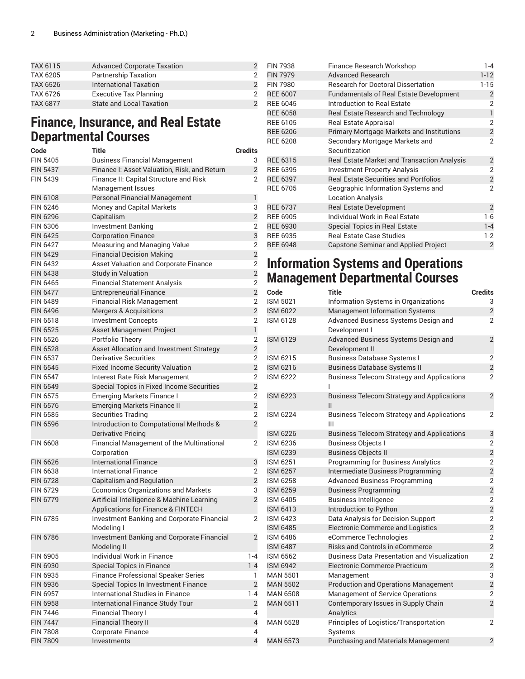| TAX 6115 | <b>Advanced Corporate Taxation</b> |  |
|----------|------------------------------------|--|
| TAX 6205 | <b>Partnership Taxation</b>        |  |
| TAX 6526 | <b>International Taxation</b>      |  |
| TAX 6726 | <b>Executive Tax Planning</b>      |  |
| TAX 6877 | <b>State and Local Taxation</b>    |  |

### **Finance, Insurance, and Real Estate Departmental Courses**

| Code            | <b>Title</b>                                              | <b>Credits</b>          |
|-----------------|-----------------------------------------------------------|-------------------------|
| <b>FIN 5405</b> | <b>Business Financial Management</b>                      | 3                       |
| <b>FIN 5437</b> | Finance I: Asset Valuation, Risk, and Return              | $\overline{2}$          |
| <b>FIN 5439</b> | Finance II: Capital Structure and Risk                    | $\overline{2}$          |
|                 | Management Issues                                         |                         |
| <b>FIN 6108</b> | Personal Financial Management                             | 1                       |
| FIN 6246        | Money and Capital Markets                                 | 3                       |
| <b>FIN 6296</b> | Capitalism                                                | $\overline{c}$          |
| <b>FIN 6306</b> | <b>Investment Banking</b>                                 | 2                       |
| <b>FIN 6425</b> | <b>Corporation Finance</b>                                | 3                       |
| <b>FIN 6427</b> | Measuring and Managing Value                              | $\overline{2}$          |
| <b>FIN 6429</b> | <b>Financial Decision Making</b>                          | $\overline{2}$          |
| FIN 6432        | <b>Asset Valuation and Corporate Finance</b>              | $\overline{2}$          |
| <b>FIN 6438</b> | <b>Study in Valuation</b>                                 | $\overline{2}$          |
| <b>FIN 6465</b> | <b>Financial Statement Analysis</b>                       | $\overline{2}$          |
| <b>FIN 6477</b> | <b>Entrepreneurial Finance</b>                            | $\overline{2}$          |
| <b>FIN 6489</b> | <b>Financial Risk Management</b>                          | $\overline{2}$          |
| <b>FIN 6496</b> | <b>Mergers &amp; Acquisitions</b>                         | $\overline{2}$          |
| FIN 6518        | <b>Investment Concepts</b>                                | 2                       |
| <b>FIN 6525</b> | Asset Management Project                                  | $\mathbf{1}$            |
| <b>FIN 6526</b> | Portfolio Theory                                          | $\overline{2}$          |
| <b>FIN 6528</b> | Asset Allocation and Investment Strategy                  | $\overline{2}$          |
| <b>FIN 6537</b> | Derivative Securities                                     | $\overline{2}$          |
| <b>FIN 6545</b> | <b>Fixed Income Security Valuation</b>                    | $\overline{2}$          |
| <b>FIN 6547</b> | Interest Rate Risk Management                             | $\overline{2}$          |
| <b>FIN 6549</b> | Special Topics in Fixed Income Securities                 | $\overline{2}$          |
| <b>FIN 6575</b> | <b>Emerging Markets Finance I</b>                         | $\overline{2}$          |
| <b>FIN 6576</b> | <b>Emerging Markets Finance II</b>                        | $\overline{2}$          |
| <b>FIN 6585</b> | <b>Securities Trading</b>                                 | 2                       |
| <b>FIN 6596</b> | Introduction to Computational Methods &                   | $\overline{2}$          |
|                 | Derivative Pricing                                        |                         |
| <b>FIN 6608</b> | Financial Management of the Multinational<br>Corporation  | 2                       |
| <b>FIN 6626</b> | <b>International Finance</b>                              | 3                       |
| <b>FIN 6638</b> | <b>International Finance</b>                              | 2                       |
| <b>FIN 6728</b> | <b>Capitalism and Regulation</b>                          | $\overline{c}$          |
| <b>FIN 6729</b> | <b>Economics Organizations and Markets</b>                | 3                       |
| <b>FIN 6779</b> | Artificial Intelligence & Machine Learning                | $\overline{c}$          |
|                 | Applications for Finance & FINTECH                        |                         |
| <b>FIN 6785</b> | Investment Banking and Corporate Financial<br>Modelina I  | 2                       |
| <b>FIN 6786</b> | Investment Banking and Corporate Financial<br>Modeling II | 2                       |
| FIN 6905        | <b>Individual Work in Finance</b>                         | $1 - 4$                 |
| <b>FIN 6930</b> | Special Topics in Finance                                 | $1 - 4$                 |
| FIN 6935        | <b>Finance Professional Speaker Series</b>                | 1                       |
| <b>FIN 6936</b> | Special Topics In Investment Finance                      | $\overline{2}$          |
| <b>FIN 6957</b> | <b>International Studies in Finance</b>                   | $1 - 4$                 |
| <b>FIN 6958</b> | International Finance Study Tour                          | $\overline{2}$          |
| <b>FIN 7446</b> | Financial Theory I                                        | 4                       |
| <b>FIN 7447</b> | <b>Financial Theory II</b>                                | $\overline{\mathbf{r}}$ |
| <b>FIN 7808</b> | Corporate Finance                                         | 4                       |
| <b>FIN 7809</b> | Investments                                               | $\overline{4}$          |

| <b>FIN 7938</b> | Finance Research Workshop                        | $1 - 4$                 |
|-----------------|--------------------------------------------------|-------------------------|
| <b>FIN 7979</b> | <b>Advanced Research</b>                         | $1 - 12$                |
| <b>FIN 7980</b> | <b>Research for Doctoral Dissertation</b>        | $1 - 15$                |
| <b>REE 6007</b> | <b>Fundamentals of Real Estate Development</b>   | $\overline{2}$          |
| <b>REE 6045</b> | <b>Introduction to Real Estate</b>               | 2                       |
| <b>REE 6058</b> | Real Estate Research and Technology              | $\mathbf{1}$            |
| <b>REE 6105</b> | <b>Real Estate Appraisal</b>                     | $\overline{2}$          |
| <b>REE 6206</b> | <b>Primary Mortgage Markets and Institutions</b> | $\overline{c}$          |
| <b>REE 6208</b> | Secondary Mortgage Markets and                   | $\overline{2}$          |
|                 | Securitization                                   |                         |
| <b>REE 6315</b> | Real Estate Market and Transaction Analysis      | $\overline{2}$          |
| <b>REE 6395</b> | <b>Investment Property Analysis</b>              | $\overline{2}$          |
| <b>REE 6397</b> | <b>Real Estate Securities and Portfolios</b>     | $\overline{\mathbf{c}}$ |
| <b>REE 6705</b> | Geographic Information Systems and               | $\overline{2}$          |
|                 | <b>Location Analysis</b>                         |                         |
| <b>REE 6737</b> | <b>Real Estate Development</b>                   | $\overline{2}$          |
| <b>REE 6905</b> | Individual Work in Real Estate                   | $1-6$                   |
| <b>REE 6930</b> | <b>Special Topics in Real Estate</b>             | $1 - 4$                 |
| <b>REE 6935</b> | <b>Real Estate Case Studies</b>                  | $1-2$                   |
| <b>REE 6948</b> | <b>Capstone Seminar and Applied Project</b>      | $\overline{2}$          |
|                 |                                                  |                         |

### **Information Systems and Operations Management Departmental Courses**

| Code            | Title                                                              | <b>Credits</b> |
|-----------------|--------------------------------------------------------------------|----------------|
| <b>ISM 5021</b> | Information Systems in Organizations                               | 3              |
| <b>ISM 6022</b> | <b>Management Information Systems</b>                              | $\overline{2}$ |
| ISM 6128        | Advanced Business Systems Design and                               | $\overline{2}$ |
|                 | Development I                                                      |                |
| <b>ISM 6129</b> | Advanced Business Systems Design and                               | $\overline{2}$ |
|                 | Development II                                                     |                |
| ISM 6215        | <b>Business Database Systems I</b>                                 | $\overline{2}$ |
| <b>ISM 6216</b> | <b>Business Database Systems II</b>                                | $\overline{2}$ |
| <b>ISM 6222</b> | <b>Business Telecom Strategy and Applications</b>                  | $\overline{2}$ |
| <b>ISM 6223</b> | <b>Business Telecom Strategy and Applications</b><br>$\mathsf{II}$ | 2              |
| ISM 6224        | <b>Business Telecom Strategy and Applications</b><br>Ш             | 2              |
| <b>ISM 6226</b> | <b>Business Telecom Strategy and Applications</b>                  | 3              |
| ISM 6236        | <b>Business Objects I</b>                                          | $\overline{2}$ |
| <b>ISM 6239</b> | <b>Business Objects II</b>                                         | $\overline{c}$ |
| ISM 6251        | <b>Programming for Business Analytics</b>                          | $\overline{2}$ |
| <b>ISM 6257</b> | Intermediate Business Programming                                  | $\overline{c}$ |
| ISM 6258        | <b>Advanced Business Programming</b>                               | $\overline{2}$ |
| <b>ISM 6259</b> | <b>Business Programming</b>                                        | $\overline{2}$ |
| ISM 6405        | <b>Business Intelligence</b>                                       | $\overline{2}$ |
| <b>ISM 6413</b> | Introduction to Python                                             | $\overline{c}$ |
| ISM 6423        | Data Analysis for Decision Support                                 | 2              |
| <b>ISM 6485</b> | <b>Electronic Commerce and Logistics</b>                           | $\overline{c}$ |
| ISM 6486        | eCommerce Technologies                                             | $\overline{2}$ |
| <b>ISM 6487</b> | <b>Risks and Controls in eCommerce</b>                             | $\overline{2}$ |
| ISM 6562        | <b>Business Data Presentation and Visualization</b>                | 2              |
| <b>ISM 6942</b> | Electronic Commerce Practicum                                      | $\overline{c}$ |
| <b>MAN 5501</b> | Management                                                         | 3              |
| <b>MAN 5502</b> | <b>Production and Operations Management</b>                        | $\overline{2}$ |
| <b>MAN 6508</b> | Management of Service Operations                                   | $\overline{2}$ |
| <b>MAN 6511</b> | Contemporary Issues in Supply Chain<br>Analytics                   | $\overline{2}$ |
| MAN 6528        | Principles of Logistics/Transportation<br>Systems                  | 2              |
| <b>MAN 6573</b> | <b>Purchasing and Materials Management</b>                         | $\overline{2}$ |
|                 |                                                                    |                |